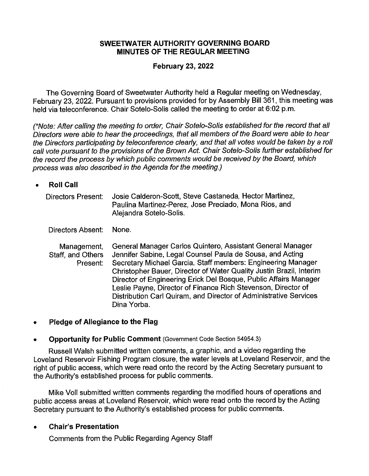### **SWEETWATER AUTHORITY GOVERNING BOARD MINUTES OF THE REGULAR MEETING**

### **February 23, 2022**

The Governing Board of Sweetwater Authority held a Regular meeting on Wednesday, February 23, 2022. Pursuant to provisions provided for by Assembly Bill 361, this meeting was held via teleconference. Chair Sotelo-Solis called the meeting to order at 6:02 p.m.

(\*Note: After calling the meeting to order, Chair Sotelo-Solis established for the record that all Directors were able to hear the proceedings, that all members of the Board were able to hear the Directors participating by teleconference clearly, and that all votes would be taken by a roll call vote pursuant to the provisions of the Brown Act. Chair Sotelo-Solis further established for the record the process by which public comments would be received by the Board, which process was also described in the Agenda for the meeting.)

• **Roll Call** 

| Directors Present: | Josie Calderon-Scott, Steve Castaneda, Hector Martinez, |
|--------------------|---------------------------------------------------------|
|                    | Paulina Martinez-Perez, Jose Preciado, Mona Rios, and   |
|                    | Alejandra Sotelo-Solis.                                 |

Directors Absent: None.

Management, Staff, and Others Present: General Manager Carlos Quintero, Assistant General Manager Jennifer Sabine, Legal Counsel Paula de Sousa, and Acting Secretary Michael Garcia. Staff members: Engineering Manager Christopher Bauer, Director of Water Quality Justin Brazil, Interim Director of Engineering Erick Del Bosque, Public Affairs Manager Leslie Payne, Director of Finance Rich Stevenson, Director of Distribution Carl Quiram, and Director of Administrative Services Dina Yorba.

### • **Pledge of Allegiance to the Flag**

### • **Opportunity for Public Comment** (Government Code Section 54954.3)

Russell Walsh submitted written comments, a graphic, and a video regarding the Loveland Reservoir Fishing Program closure, the water levels at Loveland Reservoir, and the right of public access, which were read onto the record by the Acting Secretary pursuant to the Authority's established process for public comments.

Mike Voll submitted written comments regarding the modified hours of operations and public access areas at Loveland Reservoir, which were read onto the record by the Acting Secretary pursuant to the Authority's established process for public comments.

• **Chair's Presentation** 

Comments from the Public Regarding Agency Staff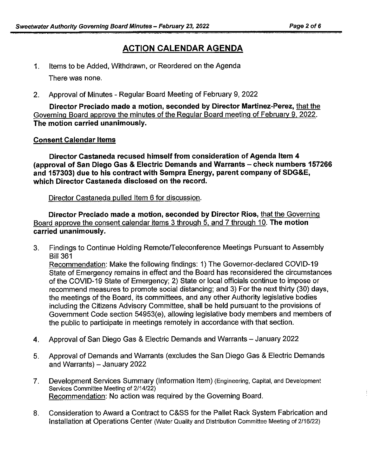# **ACTION CALENDAR AGENDA**

- 1. Items to be Added, Withdrawn, or Reordered on the Agenda There was none.
- 2. Approval of Minutes Regular Board Meeting of February 9, 2022

**Director Preciado made a motion, seconded by Director Martinez-Perez,** that the Governing Board approve the minutes of the Regular Board meeting of February 9, 2022. **The motion carried unanimously.** 

### **Consent Calendar Items**

**Director Castaneda recused himself from consideration of Agenda Item 4 (approval of San Diego Gas & Electric Demands and Warrants - check numbers 157266 and 157303) due to his contract with Sempra Energy, parent company of SDG&E, which Director Castaneda disclosed on the record.** 

Director Castaneda pulled Item 6 for discussion.

**Director Preciado made a motion, seconded by Director Rios,** that the Governing Board approve the consent calendar items 3 through 5, and 7 through 10. **The motion carried unanimously.** 

- 3. Findings to Continue Holding Remote/Teleconference Meetings Pursuant to Assembly Bill 361 Recommendation: Make the following findings: 1) The Governor-declared COVID-19 State of Emergency remains in effect and the Board has reconsidered the circumstances of the COVID-19 State of Emergency; 2) State or local officials continue to impose or recommend measures to promote social distancing; and 3) For the next thirty (30) days, the meetings of the Board, its committees, and any other Authority legislative bodies including the Citizens Advisory Committee, shall be held pursuant to the provisions of Government Code section 54953(e), allowing legislative body members and members of the public to participate in meetings remotely in accordance with that section.
- 4. Approval of San Diego Gas & Electric Demands and Warrants January 2022
- 5. Approval of Demands and Warrants (excludes the San Diego Gas & Electric Demands and Warrants) - January 2022
- 7. Development Services Summary (Information Item) (Engineering, Capital, and Development Services Committee Meeting of 2/14/22) Recommendation: No action was required by the Governing Board.
- 8. Consideration to Award a Contract to C&SS for the Pallet Rack System Fabrication and Installation at Operations Center (Water Quality and Distribution Committee Meeting of 2/16/22)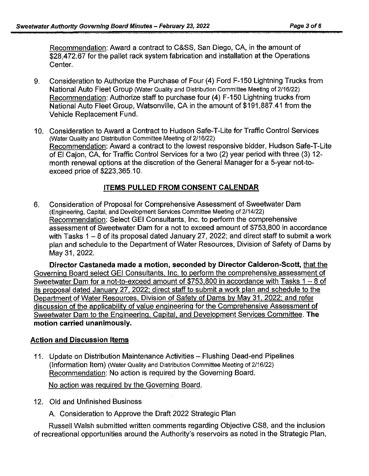Recommendation: Award a contract to C&SS, San Diego, CA, in the amount of \$28,472.67 for the pallet rack system fabrication and installation at the Operations Center.

- 9. Consideration to Authorize the Purchase of Four (4) Ford F-150 Lightning Trucks from National Auto Fleet Group (Water Quality and Distribution Committee Meeting of 2/16/22) Recommendation: Authorize staff to purchase four (4) F-150 Lightning trucks from National Auto Fleet Group, Watsonville, CA in the amount of \$191,887.41 from the Vehicle Replacement Fund.
- 10. Consideration to Award a Contract to Hudson Safe-T-Lite for Traffic Control Services (Water Quality and Distribution Committee Meeting of 2/16/22) Recommendation: Award a contract to the lowest responsive bidder, Hudson Safe-T-Lite of El Cajon, CA, for Traffic Control Services for a two (2) year period with three (3) 12 month renewal options at the discretion of the General Manager for a 5-year not-toexceed price of \$223,365.10.

# **ITEMS PULLED FROM CONSENT CALENDAR**

6. Consideration of Proposal for Comprehensive Assessment of Sweetwater Dam (Engineering, Capital, and Development Services Committee Meeting of 2/14/22) Recommendation: Select GEi Consultants, Inc. to perform the comprehensive assessment of Sweetwater Dam for a not to exceed amount of \$753,800 in accordance with Tasks  $1 - 8$  of its proposal dated January 27, 2022; and direct staff to submit a work plan and schedule to the Department of Water Resources, Division of Safety of Dams by May 31, 2022.

**Director Castaneda made a motion, seconded by Director Calderon-Scott,** that the Governing Board select GEi Consultants, Inc. to perform the comprehensive assessment of Sweetwater Dam for a not-to-exceed amount of  $$753,800$  in accordance with Tasks 1 - 8 of its proposal dated January 27. 2022; direct staff to submit a work plan and schedule to the Department of Water Resources. Division of Safety of Dams by May 31. 2022: and refer discussion of the applicability of value engineering for the Comprehensive Assessment of Sweetwater Dam to the Engineering, Capital, and Development Services Committee. **The motion carried unanimously.** 

## **Action and Discussion Items**

11. Update on Distribution Maintenance Activities - Flushing Dead-end Pipelines (Information Item) (Water Quality and Distribution Committee Meeting of 2/16/22) Recommendation: No action is required by the Governing Board.

No action was required by the Governing Board.

12. Old and Unfinished Business

A. Consideration to Approve the Draft 2022 Strategic Plan

Russell Walsh submitted written comments regarding Objective CS8, and the inclusion of recreational opportunities around the Authority's reservoirs as noted in the Strategic Plan,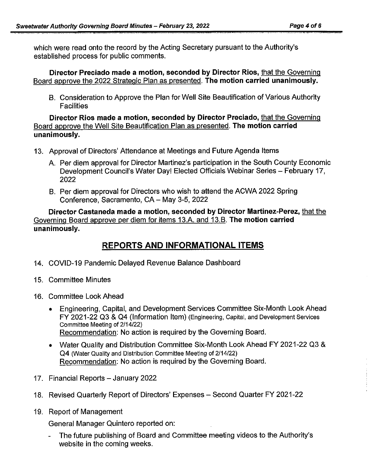which were read onto the record by the Acting Secretary pursuant to the Authority's established process for public comments.

**Director Preciado made a motion, seconded by Director Rios,** that the Governing Board approve the 2022 Strategic Plan as presented. **The motion carried unanimously.** 

B. Consideration to Approve the Plan for Well Site Beautification of Various Authority **Facilities** 

**Director Rios made a motion, seconded by Director Preciado,** that the Governing Board approve the Well Site Beautification Plan as presented. **The motion carried unanimously.** 

- 13. Approval of Directors' Attendance at Meetings and Future Agenda Items
	- A. Per diem approval for Director Martinez's participation in the South County Economic Development Council's Water Day! Elected Officials Webinar Series - February 17, 2022
	- B. Per diem approval for Directors who wish to attend the ACWA 2022 Spring Conference, Sacramento, CA - May 3-5, 2022

**Director Castaneda made a motion, seconded by Director Martinez-Perez,** that the Governing Board approve per diem for items 13.A. and 13.B. **The motion carried unanimously.** 

# **REPORTS AND INFORMATIONAL ITEMS**

- 14. COVID-19 Pandemic Delayed Revenue Balance Dashboard
- 15. Committee Minutes
- 16. Committee Look Ahead
	- Engineering, Capital, and Development Services Committee Six-Month Look Ahead FY 2021-22 Q3 & Q4 (Information Item) (Engineering, Capital, and Development Services Committee Meeting of 2/14/22) Recommendation: No action is required by the Governing Board.
	- Water Quality and Distribution Committee Six-Month Look Ahead FY 2021-22 Q3 & Q4 (Water Quality and Distribution Committee Meeting of 2/14/22) Recommendation: No action is required by the Governing Board.
- 17. Financial Reports January 2022
- 18. Revised Quarterly Report of Directors' Expenses Second Quarter FY 2021-22
- 19. Report of Management

General Manager Quintero reported on:

- The future publishing of Board and Committee meeting videos to the Authority's website in the coming weeks.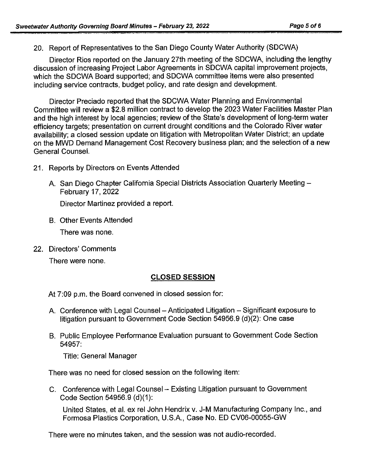20. Report of Representatives to the San Diego County Water Authority (SDCWA)

Director Rios reported on the January 27th meeting of the SDCWA, including the lengthy discussion of increasing Project Labor Agreements in SDCWA capital improvement projects, which the SDCWA Board supported; and SDCWA committee items were also presented including service contracts, budget policy, and rate design and development.

Director Preciado reported that the SDCWA Water Planning and Environmental Committee will review a \$2.8 million contract to develop the 2023 Water Facilities Master Plan and the high interest by local agencies; review of the State's development of long-term water efficiency targets; presentation on current drought conditions and the Colorado River water availability; a closed session update on litigation with Metropolitan Water District; an update on the MWD Demand Management Cost Recovery business plan; and the selection of a new General Counsel.

- 21. Reports by Directors on Events Attended
	- A. San Diego Chapter California Special Districts Association Quarterly Meeting February 17, 2022

Director Martinez provided a report.

B. Other Events Attended

There was none.

22. Directors' Comments

There were none.

## **CLOSED SESSION**

At 7:09 p.m. the Board convened in closed session for:

- A. Conference with Legal Counsel Anticipated Litigation Significant exposure to litigation pursuant to Government Code Section 54956.9 (d)(2): One case
- B. Public Employee Performance Evaluation pursuant to Government Code Section 54957:

Title: General Manager

There was no need for closed session on the following item:

C. Conference with Legal Counsel - Existing Litigation pursuant to Government Code Section 54956.9 (d)(1):

United States, et al. ex rel John Hendrix v. J-M Manufacturing Company Inc., and Formosa Plastics Corporation, U.S.A., Case No. ED CV06-00055-GW

There were no minutes taken, and the session was not audio-recorded.